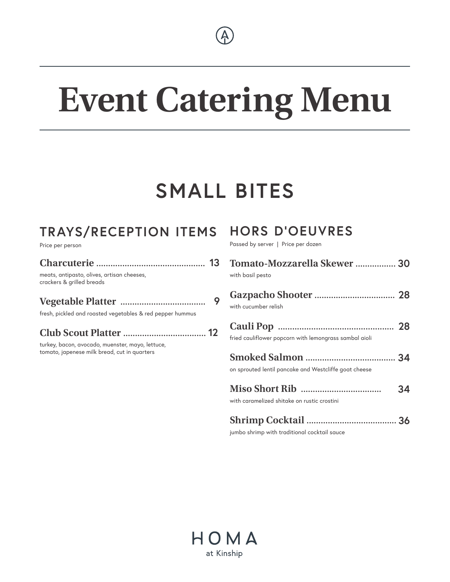

# **Event Catering Menu**

# **SMALL BITES**

# **TRAYS/RECEPTION ITEMS**

Price per person

| meats, antipasto, olives, artisan cheeses,<br>crackers & grilled breads |  |
|-------------------------------------------------------------------------|--|
|                                                                         |  |

fresh, pickled and roasted vegetables & red pepper hummus

|--|--|

turkey, bacon, avocado, muenster, mayo, lettuce, tomato, japenese milk bread, cut in quarters

# **HORS D'OEUVRES**

Passed by server | Price per dozen

| Tomato-Mozzarella Skewer  30<br>with basil pesto       |    |
|--------------------------------------------------------|----|
| with cucumber relish                                   |    |
| fried cauliflower popcorn with lemongrass sambal aioli |    |
| on sprouted lentil pancake and Westcliffe goat cheese  |    |
| with caramelized shitake on rustic crostini            | 34 |
|                                                        |    |

jumbo shrimp with traditional cocktail sauce

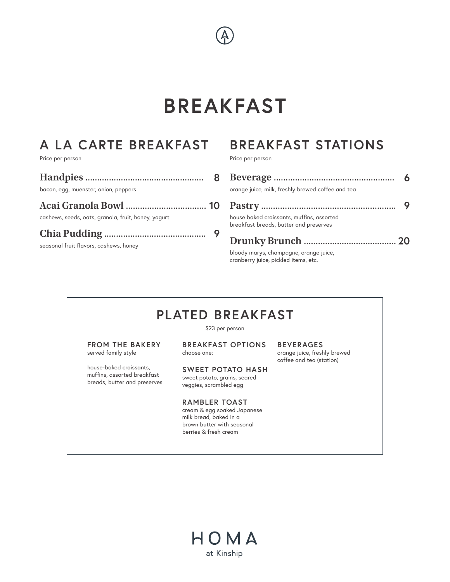# **BREAKFAST**

# **A LA CARTE BREAKFAST**

Price per person

| bacon, egg, muenster, onion, peppers                |  |
|-----------------------------------------------------|--|
| cashews, seeds, oats, granola, fruit, honey, yogurt |  |
|                                                     |  |

seasonal fruit flavors, cashews, honey

# **BREAKFAST STATIONS**

Price per person

| orange juice, milk, freshly brewed coffee and tea                                   |  |
|-------------------------------------------------------------------------------------|--|
|                                                                                     |  |
| house baked croissants, muffins, assorted<br>breakfast breads, butter and preserves |  |
|                                                                                     |  |
| bloody marys, champagne, orange juice,<br>cranberry juice, pickled items, etc.      |  |

# **PLATED BREAKFAST**

\$23 per person

**FROM THE BAKERY** served family style

house-baked croissants, muffins, assorted breakfast breads, butter and preserves **BREAKFAST OPTIONS** choose one:

**SWEET POTATO HASH** sweet potato, grains, seared veggies, scrambled egg

**RAMBLER TOAST** cream & egg soaked Japanese milk bread, baked in a brown butter with seasonal

berries & fresh cream

**BEVERAGES** orange juice, freshly brewed coffee and tea (station)

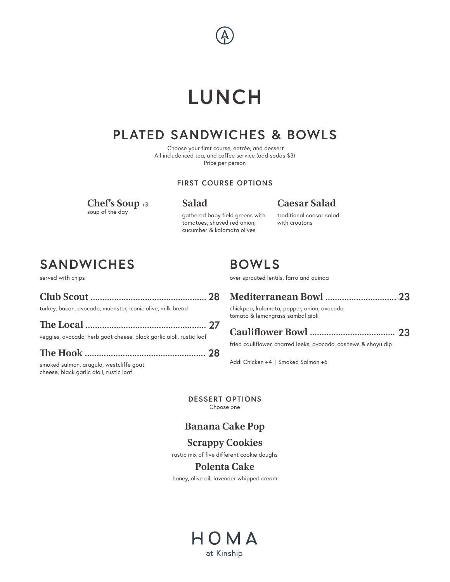# **LUNCH**

# **PLATED SANDWICHES & BOWLS**

 Choose your first course, entrée, and dessert All include iced tea, and coffee service (add sodas \$3) Price per person

#### **FIRST COURSE OPTIONS**

**Chef's Soup** +3 soup of the day

**Salad**

#### **Caesar Salad**

gathered baby field greens with tomatoes, shaved red onion, cucumber & kalamata olives

traditional caesar salad with croutons

# **SANDWICHES**

served with chips

| turkey, bacon, avocado, muenster, iconic olive, milk bread |  |
|------------------------------------------------------------|--|

**The Local** ................................................... **27** veggies, avocado, herb goat cheese, black garlic aioli, rustic loaf

**The Hook** ................................................... **28**

smoked salmon, arugula, westcliffe goat cheese, black garlic aioli, rustic loaf

# **BOWLS**

over sprouted lentils, farro and quinoa

| chickpea, kalamata, pepper, onion, avocado,<br>tomato & lemongrass sambal aioli |  |
|---------------------------------------------------------------------------------|--|

#### **Cauliflower Bowl** .................................... **23**

fried cauliflower, charred leeks, avocado, cashews & shoyu dip

Add: Chicken +4 | Smoked Salmon +6

**DESSERT OPTIONS** Choose one

#### **Banana Cake Pop**

#### **Scrappy Cookies**

rustic mix of five different cookie doughs

#### **Polenta Cake**

honey, olive oil, lavender whipped cream

# HOMA at Kinship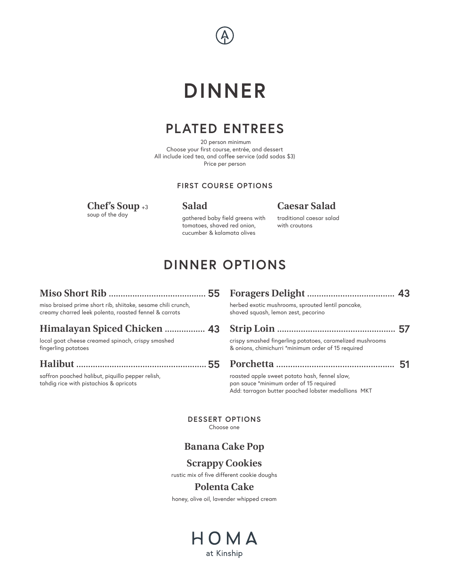

# **DINNER**

## **PLATED ENTREES**

 20 person minimum Choose your first course, entrée, and dessert All include iced tea, and coffee service (add sodas \$3) Price per person

#### **FIRST COURSE OPTIONS**

**Chef's Soup** +3 soup of the day

**Salad**

#### **Caesar Salad**

gathered baby field greens with tomatoes, shaved red onion, cucumber & kalamata olives

traditional caesar salad with croutons

# **DINNER OPTIONS**

|                                                                                                | 43                                                                                                                                                                |
|------------------------------------------------------------------------------------------------|-------------------------------------------------------------------------------------------------------------------------------------------------------------------|
| herbed exotic mushrooms, sprouted lentil pancake,<br>shaved squash, lemon zest, pecorino       |                                                                                                                                                                   |
|                                                                                                |                                                                                                                                                                   |
|                                                                                                |                                                                                                                                                                   |
|                                                                                                |                                                                                                                                                                   |
| pan sauce *minimum order of 15 required<br>Add: tarragon butter poached lobster medallions MKT |                                                                                                                                                                   |
|                                                                                                | crispy smashed fingerling potatoes, caramelized mushrooms<br>& onions, chimichurri *minimum order of 15 required<br>roasted apple sweet potato hash, fennel slaw, |

**DESSERT OPTIONS** Choose one

#### **Banana Cake Pop**

#### **Scrappy Cookies**

rustic mix of five different cookie doughs

#### **Polenta Cake**

honey, olive oil, lavender whipped cream

### HOMA at Kinship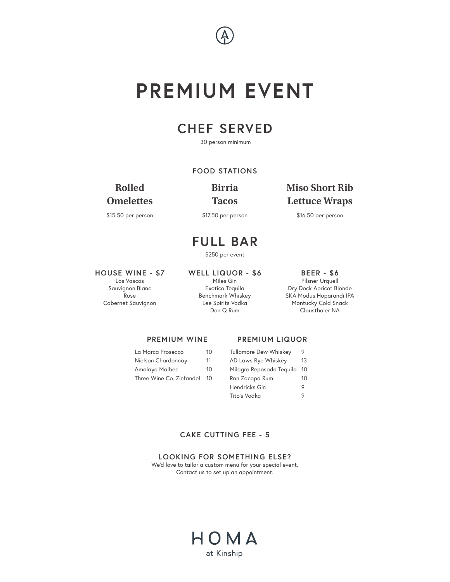

# **PREMIUM EVENT**

## **CHEF SERVED**

30 person minimum

#### **FOOD STATIONS**

#### **Rolled Omelettes**

\$15.50 per person

**Birria Tacos**

\$17.50 per person

#### **Miso Short Rib Lettuce Wraps**

\$16.50 per person

### **FULL BAR**

\$250 per event

#### **HOUSE WINE - \$7**

Los Vascos Sauvignon Blanc Rose Cabernet Sauvignon **WELL LIQUOR - \$6** Miles Gin Exotico Tequila Benchmark Whiskey Lee Spirits Vodka Don Q Rum

#### **BEER - \$6** Pilsner Urquell Dry Dock Apricot Blonde SKA Modus Hoparandi IPA Montucky Cold Snack Clausthaler NA

#### **PREMIUM WINE**

#### **PREMIUM LIQUOR**

| La Marca Prosecco        | 10 |
|--------------------------|----|
| Nielson Chardonnay       | 11 |
| Amalaya Malbec           | 10 |
| Three Wine Co. Zinfandel | 10 |
|                          |    |

| <b>Tullamore Dew Whiskey</b> | 9  |
|------------------------------|----|
| AD Laws Rye Whiskey          | 13 |
| Milagro Reposado Teguila     | 10 |
| Ron Zacapa Rum               | 10 |
| Hendricks Gin                | o  |
| Tito's Vodka                 |    |

#### **CAKE CUTTING FEE - 5**

**LOOKING FOR SOMETHING ELSE?** We'd love to tailor a custom menu for your special event. Contact us to set up an appointment.

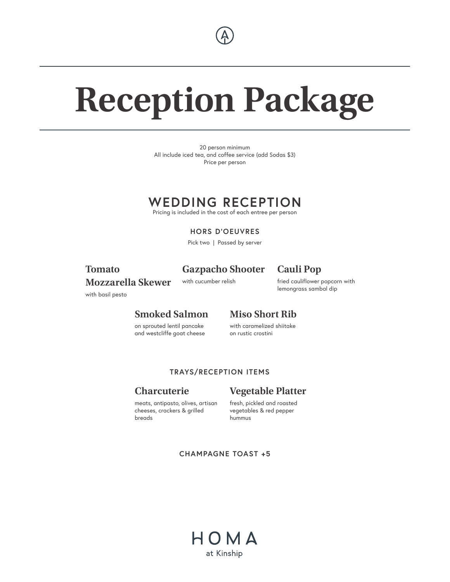

# **Reception Package**

20 person minimum All include iced tea, and coffee service (add Sodas \$3) Price per person

### **WEDDING RECEPTION**

Pricing is included in the cost of each entree per person

**HORS D'OEUVRES** 

Pick two | Passed by server

#### **Tomato Mozzarella Skewer**

#### **Gazpacho Shooter**

#### **Cauli Pop**

with cucumber relish

fried cauliflower popcorn with lemongrass sambal dip

with basil pesto

#### **Smoked Salmon**

**Miso Short Rib** 

on sprouted lentil pancake and westcliffe goat cheese with caramelized shiitake on rustic crostini

#### **TRAYS/RECEPTION ITEMS**

#### **Charcuterie**

#### meats, antipasto, olives, artisan cheeses, crackers & grilled breads

#### **Vegetable Platter**

fresh, pickled and roasted vegetables & red pepper hummus

**CHAMPAGNE TOAST +5**

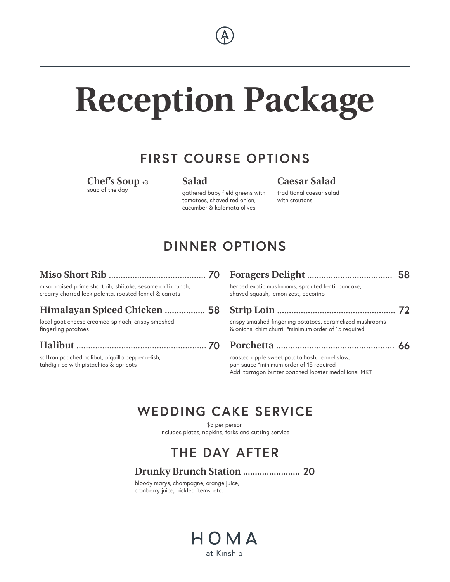

# **Reception Package**

## **FIRST COURSE OPTIONS**

**Chef's Soup** +3 soup of the day

#### **Salad**

gathered baby field greens with tomatoes, shaved red onion, cucumber & kalamata olives

**Caesar Salad** traditional caesar salad with croutons

# **DINNER OPTIONS**

#### **Miso Short Rib** ......................................... **70**

miso braised prime short rib, shiitake, sesame chili crunch, creamy charred leek polenta, roasted fennel & carrots

#### **Himalayan Spiced Chicken** ................. **58**

local goat cheese creamed spinach, crispy smashed fingerling potatoes

#### **Halibut** ....................................................... **70**

saffron poached halibut, piquillo pepper relish, tahdig rice with pistachios & apricots

| herbed exotic mushrooms, sprouted lentil pancake,<br>shaved squash, lemon zest, pecorino                         |  |
|------------------------------------------------------------------------------------------------------------------|--|
|                                                                                                                  |  |
| crispy smashed fingerling potatoes, caramelized mushrooms<br>& onions, chimichurri *minimum order of 15 required |  |
|                                                                                                                  |  |
| roasted apple sweet potato hash, fennel slaw,<br>pan sauce *minimum order of 15 required                         |  |

Add: tarragon butter poached lobster medallions MKT

# **WEDDING CAKE SERVICE**

\$5 per person Includes plates, napkins, forks and cutting service

# **THE DAY AFTER**

#### **Drunky Brunch Station** ........................ **20**

bloody marys, champagne, orange juice, cranberry juice, pickled items, etc.

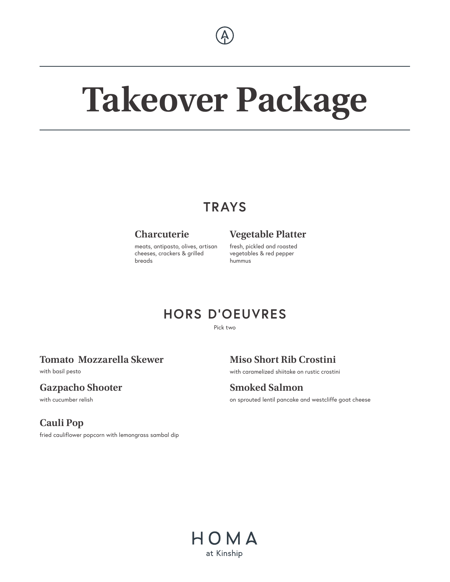

# **Takeover Package**

# **TRAYS**

#### **Charcuterie**

meats, antipasto, olives, artisan cheeses, crackers & grilled breads

#### **Vegetable Platter**

fresh, pickled and roasted vegetables & red pepper hummus

### **HORS D'OEUVRES**

Pick two

#### **Tomato Mozzarella Skewer**

with basil pesto

#### **Gazpacho Shooter**

with cucumber relish

#### **Cauli Pop**

fried cauliflower popcorn with lemongrass sambal dip

**Miso Short Rib Crostini** 

with caramelized shiitake on rustic crostini

**Smoked Salmon** on sprouted lentil pancake and westcliffe goat cheese